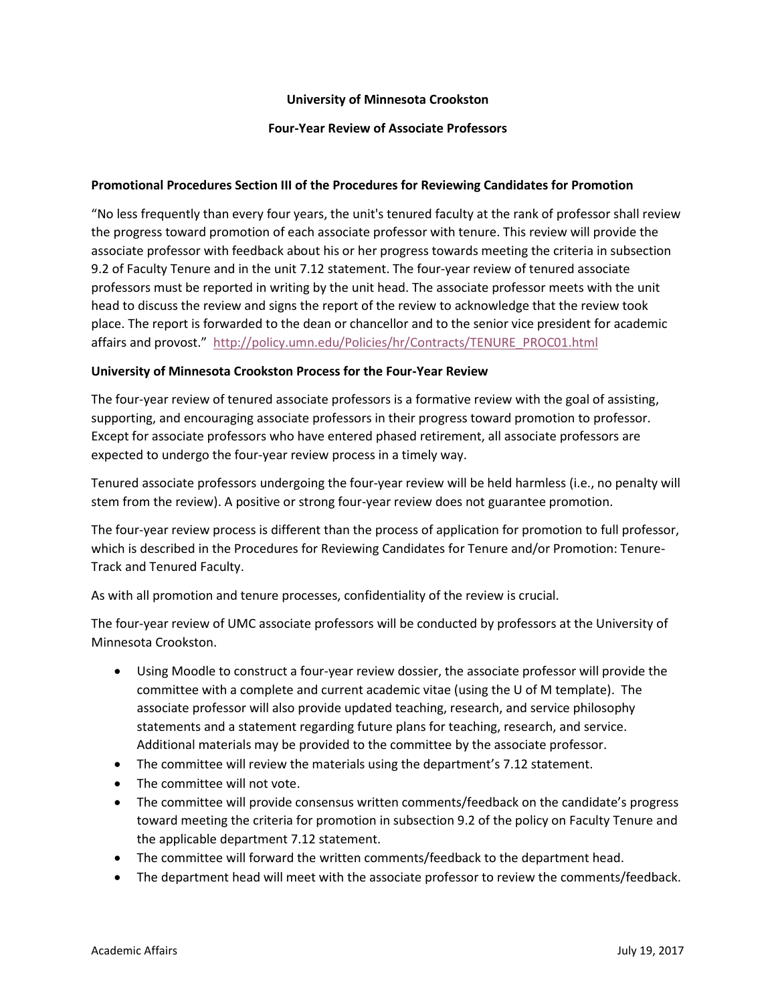## **University of Minnesota Crookston**

## **Four-Year Review of Associate Professors**

## **Promotional Procedures Section III of the Procedures for Reviewing Candidates for Promotion**

"No less frequently than every four years, the unit's tenured faculty at the rank of professor shall review the progress toward promotion of each associate professor with tenure. This review will provide the associate professor with feedback about his or her progress towards meeting the criteria in subsection 9.2 of Faculty Tenure and in the unit 7.12 statement. The four-year review of tenured associate professors must be reported in writing by the unit head. The associate professor meets with the unit head to discuss the review and signs the report of the review to acknowledge that the review took place. The report is forwarded to the dean or chancellor and to the senior vice president for academic affairs and provost." [http://policy.umn.edu/Policies/hr/Contracts/TENURE\\_PROC01.html](http://policy.umn.edu/Policies/hr/Contracts/TENURE_PROC01.html)

#### **University of Minnesota Crookston Process for the Four-Year Review**

The four-year review of tenured associate professors is a formative review with the goal of assisting, supporting, and encouraging associate professors in their progress toward promotion to professor. Except for associate professors who have entered phased retirement, all associate professors are expected to undergo the four-year review process in a timely way.

Tenured associate professors undergoing the four-year review will be held harmless (i.e., no penalty will stem from the review). A positive or strong four-year review does not guarantee promotion.

The four-year review process is different than the process of application for promotion to full professor, which is described in the Procedures for Reviewing Candidates for Tenure and/or Promotion: Tenure-Track and Tenured Faculty.

As with all promotion and tenure processes, confidentiality of the review is crucial.

The four-year review of UMC associate professors will be conducted by professors at the University of Minnesota Crookston.

- Using Moodle to construct a four-year review dossier, the associate professor will provide the committee with a complete and current academic vitae (using the U of M template). The associate professor will also provide updated teaching, research, and service philosophy statements and a statement regarding future plans for teaching, research, and service. Additional materials may be provided to the committee by the associate professor.
- The committee will review the materials using the department's 7.12 statement.
- The committee will not vote.
- The committee will provide consensus written comments/feedback on the candidate's progress toward meeting the criteria for promotion in subsection 9.2 of the policy on Faculty Tenure and the applicable department 7.12 statement.
- The committee will forward the written comments/feedback to the department head.
- The department head will meet with the associate professor to review the comments/feedback.